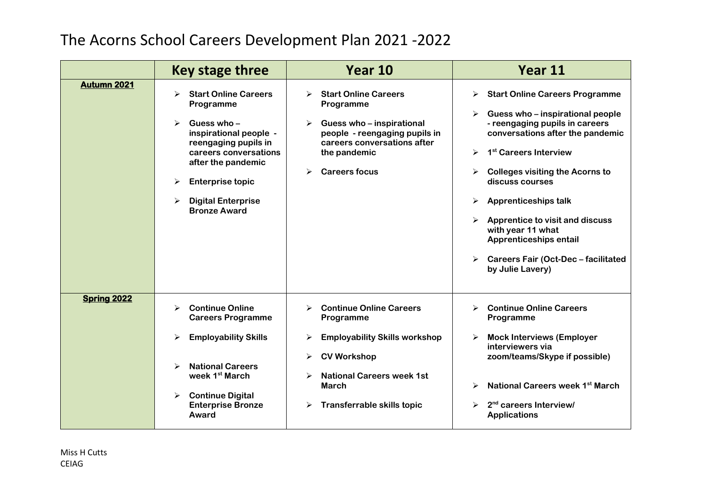## The Acorns School Careers Development Plan 2021 -2022

|                    | Key stage three                                                                                                                                                                                                                                       | Year 10                                                                                                                                                                                                         | Year 11                                                                                                                                                                                                                                                                                                                                                                                                                                             |
|--------------------|-------------------------------------------------------------------------------------------------------------------------------------------------------------------------------------------------------------------------------------------------------|-----------------------------------------------------------------------------------------------------------------------------------------------------------------------------------------------------------------|-----------------------------------------------------------------------------------------------------------------------------------------------------------------------------------------------------------------------------------------------------------------------------------------------------------------------------------------------------------------------------------------------------------------------------------------------------|
| Autumn 2021        | <b>Start Online Careers</b><br>↘<br>Programme<br>Guess who-<br>inspirational people -<br>reengaging pupils in<br>careers conversations<br>after the pandemic<br><b>Enterprise topic</b><br>➤<br><b>Digital Enterprise</b><br>➤<br><b>Bronze Award</b> | <b>Start Online Careers</b><br>➤<br>Programme<br>Guess who - inspirational<br>➤<br>people - reengaging pupils in<br>careers conversations after<br>the pandemic<br><b>Careers focus</b><br>➤                    | <b>Start Online Careers Programme</b><br>➤<br>Guess who – inspirational people<br>- reengaging pupils in careers<br>conversations after the pandemic<br>1 <sup>st</sup> Careers Interview<br>➤<br><b>Colleges visiting the Acorns to</b><br>discuss courses<br><b>Apprenticeships talk</b><br>≻<br>Apprentice to visit and discuss<br>with year 11 what<br>Apprenticeships entail<br><b>Careers Fair (Oct-Dec - facilitated</b><br>by Julie Lavery) |
| <b>Spring 2022</b> | <b>Continue Online</b><br>➤<br><b>Careers Programme</b><br><b>Employability Skills</b><br><b>National Careers</b><br>week 1 <sup>st</sup> March<br><b>Continue Digital</b><br><b>Enterprise Bronze</b><br>Award                                       | <b>Continue Online Careers</b><br>⋗<br>Programme<br><b>Employability Skills workshop</b><br>⋗<br><b>CV Workshop</b><br>➤<br><b>National Careers week 1st</b><br><b>March</b><br>Transferrable skills topic<br>➤ | <b>Continue Online Careers</b><br>➤<br>Programme<br><b>Mock Interviews (Employer</b><br>interviewers via<br>zoom/teams/Skype if possible)<br>National Careers week 1st March<br>2 <sup>nd</sup> careers Interview/<br><b>Applications</b>                                                                                                                                                                                                           |